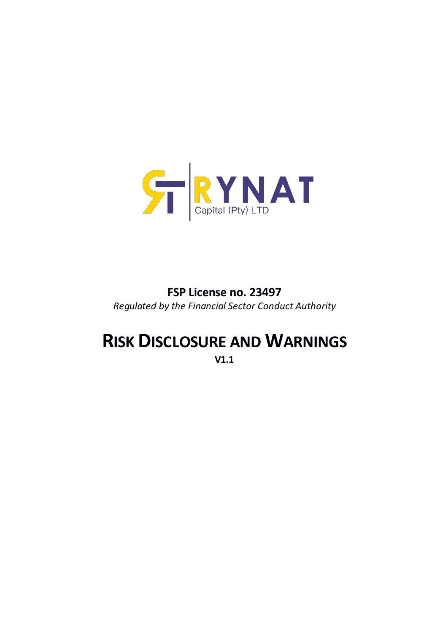

**FSP License no. 23497** *Regulated by the Financial Sector Conduct Authority*

# **RISK DISCLOSURE AND WARNINGS**

**V1.1**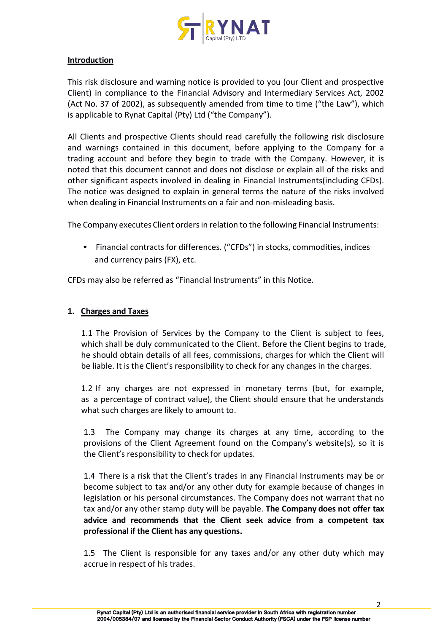

## **Introduction**

This risk disclosure and warning notice is provided to you (our Client and prospective Client) in compliance to the Financial Advisory and Intermediary Services Act, 2002 (Act No. 37 of 2002), as subsequently amended from time to time ("the Law"), which is applicable to Rynat Capital (Pty) Ltd ("the Company").

All Clients and prospective Clients should read carefully the following risk disclosure and warnings contained in this document, before applying to the Company for a trading account and before they begin to trade with the Company. However, it is noted that this document cannot and does not disclose or explain all of the risks and other significant aspects involved in dealing in Financial Instruments(including CFDs). The notice was designed to explain in general terms the nature of the risks involved when dealing in Financial Instruments on a fair and non-misleading basis.

The Company executes Client orders in relation to the following Financial Instruments:

• Financial contracts for differences. ("CFDs") in stocks, commodities, indices and currency pairs (FX), etc.

CFDs may also be referred as "Financial Instruments" in this Notice.

#### **1. Charges and Taxes**

1.1 The Provision of Services by the Company to the Client is subject to fees, which shall be duly communicated to the Client. Before the Client begins to trade, he should obtain details of all fees, commissions, charges for which the Client will be liable. It is the Client's responsibility to check for any changes in the charges.

1.2 If any charges are not expressed in monetary terms (but, for example, as a percentage of contract value), the Client should ensure that he understands what such charges are likely to amount to.

1.3 The Company may change its charges at any time, according to the provisions of the Client Agreement found on the Company's website(s), so it is the Client's responsibility to check for updates.

1.4 There is a risk that the Client's trades in any Financial Instruments may be or become subject to tax and/or any other duty for example because of changes in legislation or his personal circumstances. The Company does not warrant that no tax and/or any other stamp duty will be payable. **The Company does not offer tax advice and recommends that the Client seek advice from a competent tax professional if the Client has any questions.**

1.5 The Client is responsible for any taxes and/or any other duty which may accrue in respect of his trades.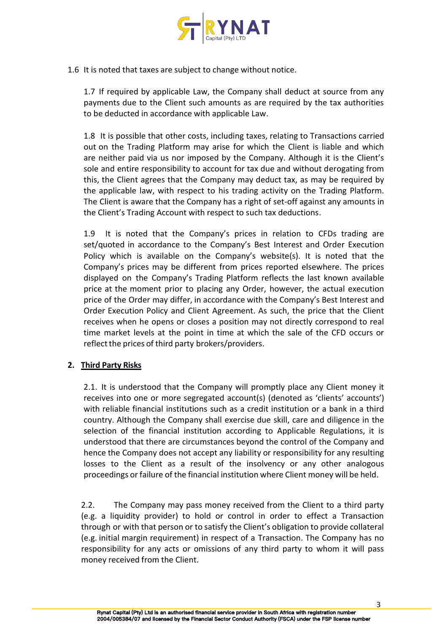

1.6 It is noted that taxes are subject to change without notice.

1.7 If required by applicable Law, the Company shall deduct at source from any payments due to the Client such amounts as are required by the tax authorities to be deducted in accordance with applicable Law.

1.8 It is possible that other costs, including taxes, relating to Transactions carried out on the Trading Platform may arise for which the Client is liable and which are neither paid via us nor imposed by the Company. Although it is the Client's sole and entire responsibility to account for tax due and without derogating from this, the Client agrees that the Company may deduct tax, as may be required by the applicable law, with respect to his trading activity on the Trading Platform. The Client is aware that the Company has a right of set-off against any amounts in the Client's Trading Account with respect to such tax deductions.

1.9 It is noted that the Company's prices in relation to CFDs trading are set/quoted in accordance to the Company's Best Interest and Order Execution Policy which is available on the Company's website(s). It is noted that the Company's prices may be different from prices reported elsewhere. The prices displayed on the Company's Trading Platform reflects the last known available price at the moment prior to placing any Order, however, the actual execution price of the Order may differ, in accordance with the Company's Best Interest and Order Execution Policy and Client Agreement. As such, the price that the Client receives when he opens or closes a position may not directly correspond to real time market levels at the point in time at which the sale of the CFD occurs or reflect the prices of third party brokers/providers.

## **2. Third Party Risks**

2.1. It is understood that the Company will promptly place any Client money it receives into one or more segregated account(s) (denoted as 'clients' accounts') with reliable financial institutions such as a credit institution or a bank in a third country. Although the Company shall exercise due skill, care and diligence in the selection of the financial institution according to Applicable Regulations, it is understood that there are circumstances beyond the control of the Company and hence the Company does not accept any liability or responsibility for any resulting losses to the Client as a result of the insolvency or any other analogous proceedings or failure of the financial institution where Client money will be held.

2.2. The Company may pass money received from the Client to a third party (e.g. a liquidity provider) to hold or control in order to effect a Transaction through or with that person or to satisfy the Client's obligation to provide collateral (e.g. initial margin requirement) in respect of a Transaction. The Company has no responsibility for any acts or omissions of any third party to whom it will pass money received from the Client.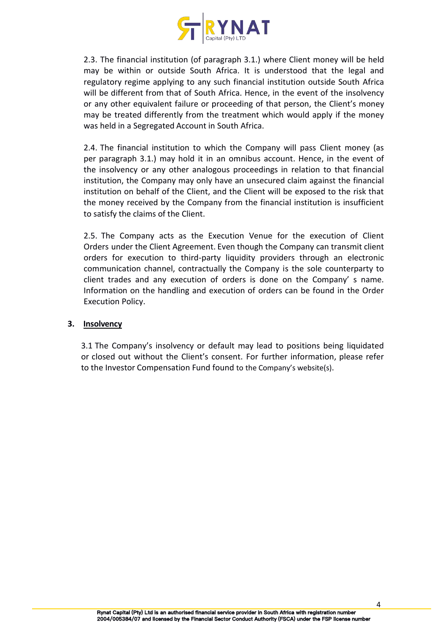

2.3. The financial institution (of paragraph 3.1.) where Client money will be held may be within or outside South Africa. It is understood that the legal and regulatory regime applying to any such financial institution outside South Africa will be different from that of South Africa. Hence, in the event of the insolvency or any other equivalent failure or proceeding of that person, the Client's money may be treated differently from the treatment which would apply if the money was held in a Segregated Account in South Africa.

2.4. The financial institution to which the Company will pass Client money (as per paragraph 3.1.) may hold it in an omnibus account. Hence, in the event of the insolvency or any other analogous proceedings in relation to that financial institution, the Company may only have an unsecured claim against the financial institution on behalf of the Client, and the Client will be exposed to the risk that the money received by the Company from the financial institution is insufficient to satisfy the claims of the Client.

2.5. The Company acts as the Execution Venue for the execution of Client Orders under the Client Agreement. Even though the Company can transmit client orders for execution to third-party liquidity providers through an electronic communication channel, contractually the Company is the sole counterparty to client trades and any execution of orders is done on the Company' s name. Information on the handling and execution of orders can be found in the Order Execution Policy.

## **3. Insolvency**

3.1 The Company's insolvency or default may lead to positions being liquidated or closed out without the Client's consent. For further information, please refer to the Investor Compensation Fund found to the Company's website(s).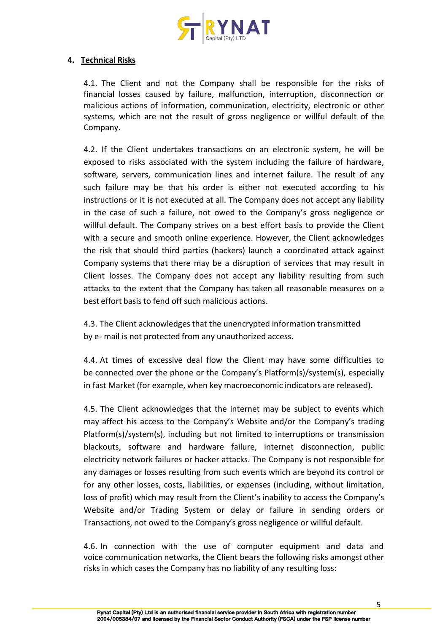

# **4. Technical Risks**

4.1. The Client and not the Company shall be responsible for the risks of financial losses caused by failure, malfunction, interruption, disconnection or malicious actions of information, communication, electricity, electronic or other systems, which are not the result of gross negligence or willful default of the Company.

4.2. If the Client undertakes transactions on an electronic system, he will be exposed to risks associated with the system including the failure of hardware, software, servers, communication lines and internet failure. The result of any such failure may be that his order is either not executed according to his instructions or it is not executed at all. The Company does not accept any liability in the case of such afailure, not owed to the Company's gross negligence or willful default. The Company strives on a best effort basis to provide the Client with a secure and smooth online experience. However, the Client acknowledges the risk that should third parties (hackers) launch a coordinated attack against Company systems that there may be a disruption of services that may result in Client losses. The Company does not accept any liability resulting from such attacks to the extent that the Company has taken all reasonable measures on a best effort basisto fend off such malicious actions.

4.3. The Client acknowledgesthat the unencrypted information transmitted

by e- mail is not protected from any unauthorized access.<br>4.4. At times of excessive deal flow the Client may have some difficulties to be connected over the phone or the Company's Platform(s)/system(s), especially in fast Market (for example, when key macroeconomic indicators are released).

4.5. The Client acknowledges that the internet may be subject to events which may affect his access to the Company's Website and/or the Company's trading Platform(s)/system(s), including but not limited to interruptions or transmission blackouts, software and hardware failure, internet disconnection, public electricity network failures or hacker attacks. The Company is not responsible for any damages or losses resulting from such events which are beyond its control or for any other losses, costs, liabilities, or expenses (including, without limitation, loss of profit) which may result from the Client's inability to access the Company's Website and/or Trading System or delay or failure in sending orders or Transactions, not owed to the Company's gross negligence or willful default.

4.6. In connection with the use of computer equipment and data and voice communication networks, the Client bears the following risks amongst other risks in which cases the Company has no liability of any resulting loss: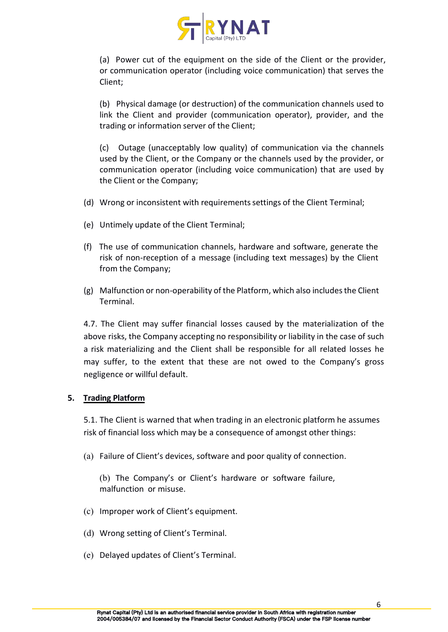

(a) Power cut of the equipment on the side of the Client or the provider, or communication operator (including voice communication) that serves the Client;

(b) Physical damage (or destruction) of the communication channels used to link the Client and provider (communication operator), provider, and the trading or information server of the Client;

(c) Outage (unacceptably low quality) of communication via the channels used by the Client, or the Company or the channels used by the provider, or communication operator (including voice communication) that are used by the Client or the Company;

- (d) Wrong or inconsistent with requirementssettings of the Client Terminal;
- (e) Untimely update of the Client Terminal;
- (f) The use of communication channels, hardware and software, generate the risk of non-reception of a message (including text messages) by the Client from the Company;
- $(g)$  Malfunction or non-operability of the Platform, which also includes the Client Terminal.

4.7. The Client may suffer financial losses caused by the materialization of the above risks, the Company accepting no responsibility or liability in the case of such a risk materializing and the Client shall be responsible for all related losses he may suffer, to the extent that these are not owed to the Company's gross negligence or willful default.

## **5. Trading Platform**

5.1. The Client is warned that when trading in an electronic platform he assumes risk of financial loss which may be a consequence of amongst other things:

(a) Failure of Client's devices, software and poor quality of connection.

(b) The Company's or Client's hardware or software failure, malfunction or misuse.

- (c) Improper work of Client's equipment.
- (d) Wrong setting of Client's Terminal.
- (e) Delayed updates of Client's Terminal.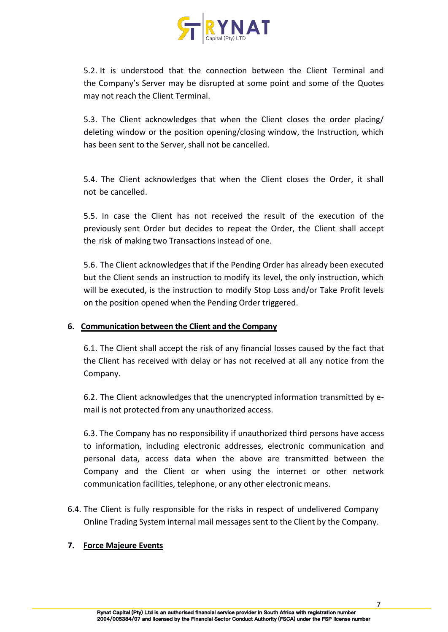

5.2. It is understood that the connection between the Client Terminal and the Company's Server may be disrupted at some point and some of the Quotes may not reach the Client Terminal.

5.3. The Client acknowledges that when the Client closes the order placing/ deleting window or the position opening/closing window, the Instruction, which has been sent to the Server, shall not be cancelled.

5.4. The Client acknowledges that when the Client closes the Order, it shall not be cancelled.

5.5. In case the Client has not received the result of the execution of the previously sent Order but decides to repeat the Order, the Client shall accept the risk of making two Transactions instead of one.

5.6. The Client acknowledgesthat if the Pending Order has already been executed but the Client sends an instruction to modify its level, the only instruction, which will be executed, is the instruction to modify Stop Loss and/or Take Profit levels on the position opened when the Pending Order triggered.

# **6. Communication between the Client and the Company**

6.1. The Client shall accept the risk of any financial losses caused by the fact that the Client has received with delay or has not received at all any notice from the Company.

6.2. The Client acknowledges that the unencrypted information transmitted by e mail is not protected from any unauthorized access.<br>6.3. The Company has no responsibility if unauthorized third persons have access

to information, including electronic addresses, electronic communication and personal data, access data when the above are transmitted between the Company and the Client or when using the internet or other network communication facilities, telephone, or any other electronic means.

6.4. The Client is fully responsible for the risks in respect of undelivered Company Online Trading System internal mail messagessent to the Client by the Company.

# **7. Force Majeure Events**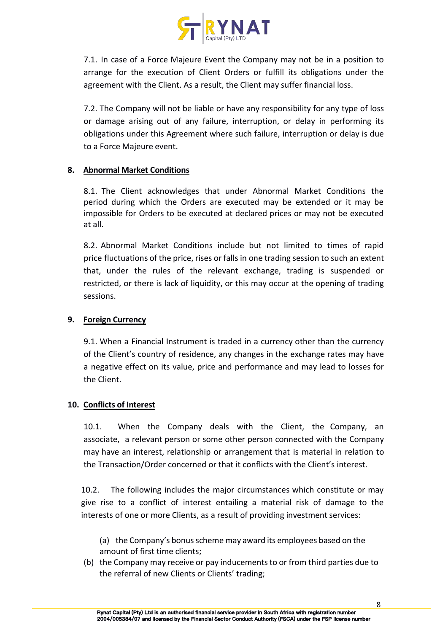

7.1. In case of a Force Majeure Event the Company may not be in a position to arrange for the execution of Client Orders or fulfill its obligations under the agreement with the Client. As a result, the Client may suffer financial loss.

7.2. The Company will not be liable or have any responsibility for any type of loss or damage arising out of any failure, interruption, or delay in performing its obligations under this Agreement where such failure, interruption or delay is due to a Force Majeure event.

# **8. Abnormal Market Conditions**

8.1. The Client acknowledges that under Abnormal Market Conditions the period during which the Orders are executed may be extended or it may be impossible for Orders to be executed at declared prices or may not be executed at all.

8.2. Abnormal Market Conditions include but not limited to times of rapid price fluctuations of the price, rises or falls in one trading session to such an extent that, under the rules of the relevant exchange, trading is suspended or restricted, or there is lack of liquidity, or this may occur at the opening of trading sessions.

# **9. Foreign Currency**

9.1. When a Financial Instrument is traded in a currency other than the currency of the Client's country of residence, any changes in the exchange rates may have a negative effect on its value, price and performance and may lead to losses for the Client.

## **10. Conflicts of Interest**

10.1. When the Company deals with the Client, the Company, an associate, a relevant person or some other person connected with the Company may have an interest, relationship or arrangement that is material in relation to the Transaction/Order concerned or that it conflicts with the Client's interest.

10.2. The following includes the major circumstances which constitute or may give rise to a conflict of interest entailing a material risk of damage to the interests of one or more Clients, as a result of providing investment services:

(a) the Company's bonus scheme may award its employees based on the amount of first time clients;

(b) the Company may receive or pay inducementsto or from third parties due to the referral of new Clients or Clients' trading;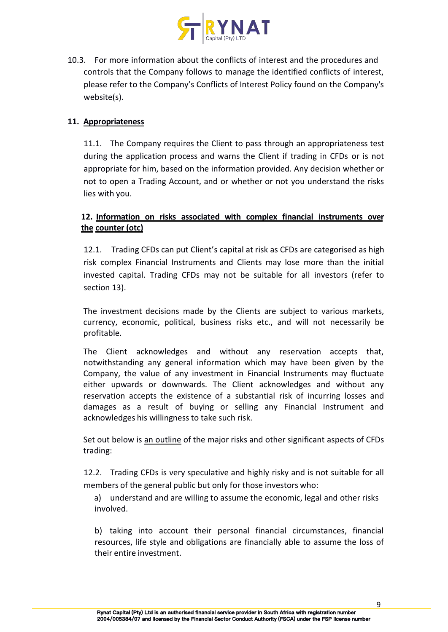

10.3. For more information about the conflicts of interest and the procedures and controls that the Company follows to manage the identified conflicts of interest, please refer to the Company's Conflicts of Interest Policy found on the Company's website(s).

# **11. Appropriateness**

11.1. The Company requires the Client to pass through an appropriateness test during the application process and warns the Client if trading in CFDs or is not appropriate for him, based on the information provided. Any decision whether or not to open a Trading Account, and or whether or not you understand the risks lies with you.

# **12. Information on risks associated with complex financial instruments over the counter (otc)**

12.1. Trading CFDs can put Client's capital at risk as CFDs are categorised as high risk complex Financial Instruments and Clients may lose more than the initial invested capital. Trading CFDs may not be suitable for all investors (refer to section 13).

The investment decisions made by the Clients are subject to various markets, currency, economic, political, business risks etc., and will not necessarily be profitable.

The Client acknowledges and without any reservation accepts that, notwithstanding any general information which may have been given by the Company, the value of any investment in Financial Instruments may fluctuate either upwards or downwards. The Client acknowledges and without any reservation accepts the existence of a substantial risk of incurring losses and damages as a result of buying or selling any Financial Instrument and acknowledges his willingness to take such risk.

Set out below is an outline of the major risks and other significant aspects of CFDs trading:

12.2. Trading CFDs is very speculative and highly risky and is not suitable for all members of the general public but only for those investors who:

a) understand and are willing to assume the economic, legal and other risks involved.

b) taking into account their personal financial circumstances, financial resources, life style and obligations are financially able to assume the loss of their entire investment.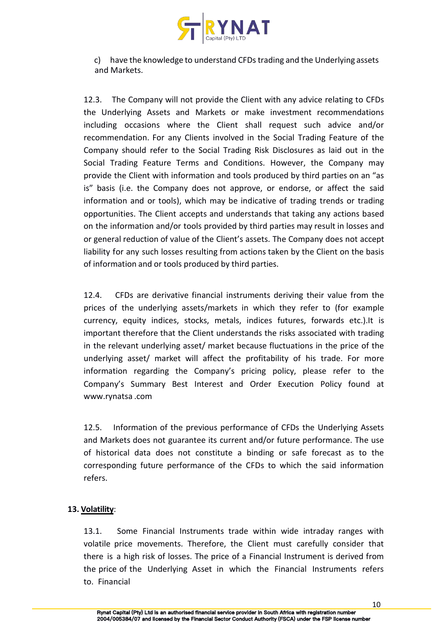

c) have the knowledge to understand CFDs trading and the Underlying assets and Markets.

12.3. The Company will not provide the Client with any advice relating to CFDs the Underlying Assets and Markets or make investment recommendations including occasions where the Client shall request such advice and/or recommendation. For any Clients involved in the Social Trading Feature of the Company should refer to the Social Trading Risk Disclosures as laid out in the Social Trading Feature Terms and Conditions. However, the Company may provide the Client with information and tools produced by third parties on an "as is" basis (i.e. the Company does not approve, or endorse, or affect the said information and or tools), which may be indicative of trading trends or trading opportunities. The Client accepts and understands that taking any actions based on the information and/or tools provided by third parties may result in losses and or general reduction of value of the Client's assets. The Company does not accept liability for any such losses resulting from actions taken by the Client on the basis of information and or tools produced by third parties.

12.4. CFDs are derivative financial instruments deriving their value from the prices of the underlying assets/markets in which they refer to (for example currency, equity indices, stocks, metals, indices futures, forwards etc.).It is important therefore that the Client understands the risks associated with trading in the relevant underlying asset/ market because fluctuations in the price of the underlying asset/ market will affect the profitability of his trade. For more information regarding the Company's pricing policy, please refer to the Company's Summary Best Interest and Order Execution Policy found at www.rynatsa .com

12.5. Information of the previous performance of CFDs the Underlying Assets and Markets does not guarantee its current and/or future performance. The use of historical data does not constitute a binding or safe forecast as to the corresponding future performance of the CFDs to which the said information refers.

## **13. Volatility**:

13.1. Some Financial Instruments trade within wide intraday ranges with volatile price movements. Therefore, the Client must carefully consider that there is a high risk of losses. The price of a Financial Instrument is derived from the price of the Underlying Asset in which the Financial Instruments refers to. Financial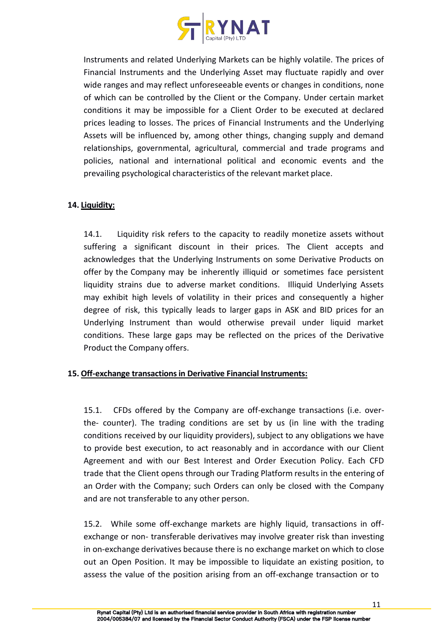

Instruments and related Underlying Markets can be highly volatile. The prices of Financial Instruments and the Underlying Asset may fluctuate rapidly and over wide ranges and may reflect unforeseeable events or changes in conditions, none of which can be controlled by the Client or the Company. Under certain market conditions it may be impossible for a Client Order to be executed at declared prices leading to losses. The prices of Financial Instruments and the Underlying Assets will be influenced by, among other things, changing supply and demand relationships, governmental, agricultural, commercial and trade programs and policies, national and international political and economic events and the prevailing psychological characteristics of the relevant market place.

# **14. Liquidity:**

14.1. Liquidity risk refers to the capacity to readily monetize assets without suffering a significant discount in their prices. The Client accepts and acknowledges that the Underlying Instruments on some Derivative Products on offer by the Company may be inherently illiquid or sometimes face persistent liquidity strains due to adverse market conditions. Illiquid Underlying Assets may exhibit high levels of volatility in their prices and consequently a higher degree of risk, this typically leads to larger gaps in ASK and BID prices for an Underlying Instrument than would otherwise prevail under liquid market conditions. These large gaps may be reflected on the prices of the Derivative Product the Company offers.

## **15. Off-exchange transactionsin Derivative Financial Instruments:**

15.1. CFDs offered bythe Company are off-exchange transactions (i.e. over the- counter). The trading conditions are set by us (in line with the trading conditions received by our liquidity providers), subject to any obligations we have to provide best execution, to act reasonably and in accordance with our Client Agreement and with our Best Interest and Order Execution Policy. Each CFD trade that the Client opens through our Trading Platform results in the entering of an Order with the Company; such Orders can only be closed with the Company and are not transferable to any other person.

15.2. While some off-exchange markets are highly liquid, transactions in off exchange or non- transferable derivatives may involve greater risk than investing in on-exchange derivatives because there is no exchange market on which to close out an Open Position. It may be impossible to liquidate an existing position, to assess the value of the position arising from an off-exchange transaction or to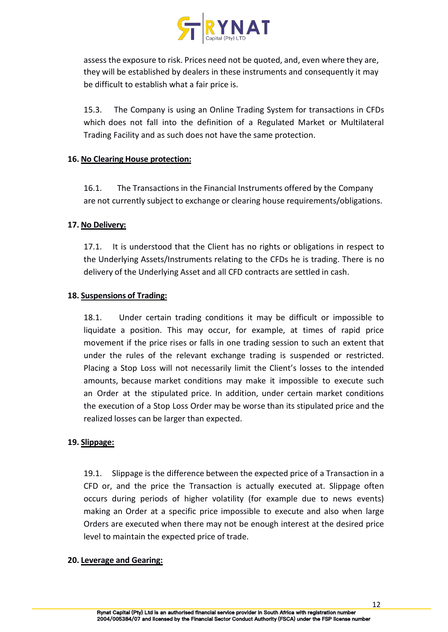

assess the exposure to risk. Prices need not be quoted, and, even where they are, they will be established by dealers in these instruments and consequently it may be difficult to establish what a fair price is.

15.3. The Company is using an Online Trading System for transactions in CFDs which does not fall into the definition of a Regulated Market or Multilateral Trading Facility and as such does not have the same protection.

# **16. No Clearing House protection:**

16.1. The Transactions in the Financial Instruments offered by the Company are not currently subject to exchange or clearing house requirements/obligations.

# **17. No Delivery:**

17.1. It is understood that the Client has no rights or obligations in respect to the Underlying Assets/Instruments relating to the CFDs he is trading. There is no delivery of the Underlying Asset and all CFD contracts are settled in cash.

# **18. Suspensions of Trading:**

18.1. Under certain trading conditions it may be difficult or impossible to liquidate a position. This may occur, for example, at times of rapid price movement if the price rises or falls in one trading session to such an extent that under the rules of the relevant exchange trading is suspended or restricted. Placing a Stop Loss will not necessarily limit the Client's losses to the intended amounts, because market conditions may make it impossible to execute such an Order at the stipulated price. In addition, under certain market conditions the execution of a Stop Loss Order may be worse than its stipulated price and the realized losses can be larger than expected.

## **19. Slippage:**

19.1. Slippage is the difference between the expected price of a Transaction in a CFD or, and the price the Transaction is actually executed at. Slippage often occurs during periods of higher volatility (for example due to news events) making an Order at a specific price impossible to execute and also when large Orders are executed when there may not be enough interest at the desired price level to maintain the expected price of trade.

## **20. Leverage and Gearing:**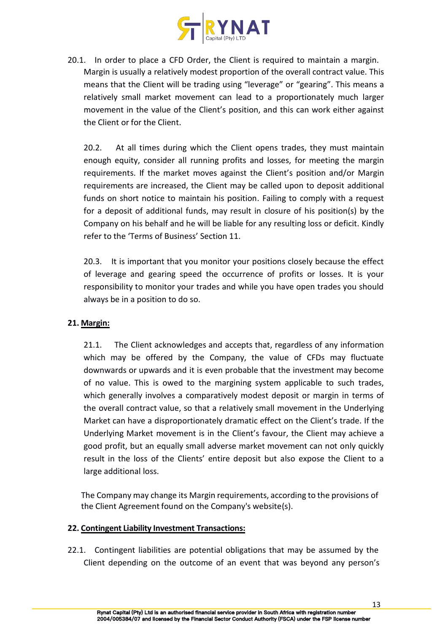

20.1. In order to place a CFD Order, the Client is required to maintain a margin. Margin is usually a relatively modest proportion of the overall contract value. This means that the Client will be trading using "leverage" or "gearing". This means a relatively small market movement can lead to a proportionately much larger movement in the value ofthe Client's position, and this can work either against the Client or for the Client.

20.2. At all times during which the Client opens trades, they must maintain enough equity, consider all running profits and losses, for meeting the margin requirements. If the market moves against the Client's position and/or Margin requirements are increased, the Client may be called upon to deposit additional funds on short notice to maintain his position. Failing to comply with a request for a deposit of additional funds, may result in closure of his position(s) by the Company on his behalfand he will be liable for any resulting loss or deficit. Kindly refer to the 'Terms of Business' Section 11.

20.3. It is important that you monitor your positions closely because the effect of leverage and gearing speed the occurrence of profits or losses. It is your responsibility to monitor your trades and while you have open trades you should always be in a position to do so.

# **21. Margin:**

21.1. The Client acknowledges and accepts that, regardless of any information which may be offered by the Company, the value of CFDs may fluctuate downwards or upwards and it is even probable that the investment may become of no value. This is owed to the margining system applicable to such trades, which generally involves a comparatively modest deposit or margin in terms of the overall contract value, so that a relatively small movement in the Underlying Market can have a disproportionately dramatic effect on the Client's trade. If the Underlying Market movement is in the Client's favour, the Client may achieve a good profit, but an equally smalladverse market movement can not only quickly result in the loss of the Clients' entire deposit but also expose the Client to a large additional loss.

The Company may change its Margin requirements, according to the provisions of the Client Agreement found on the Company's website(s).

## **22. Contingent Liability Investment Transactions:**

22.1. Contingent liabilities are potential obligations that may be assumed by the Client depending on the outcome of an event that was beyond any person's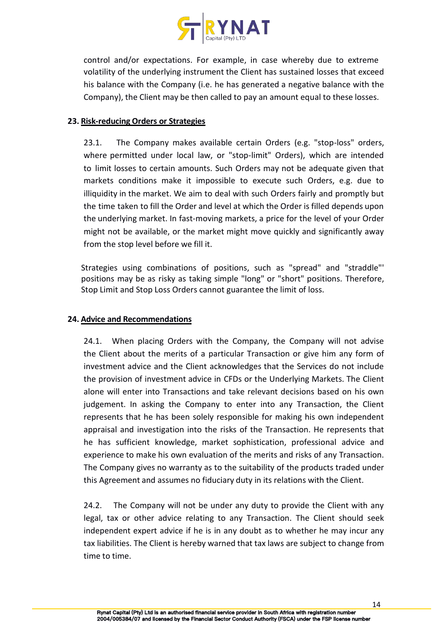

control and/or expectations. For example, in case whereby due to extreme volatility of the underlying instrument the Client has sustained losses that exceed his balance with the Company (i.e. he has generated a negative balance with the Company), the Client may be then called to pay an amount equal to these losses.

# **23. Risk-reducing Orders or Strategies**

23.1. The Company makes available certain Orders (e.g. "stop-loss" orders, where permitted under local law, or "stop-limit" Orders), which are intended to limit losses to certain amounts. Such Orders may not be adequate given that markets conditions make it impossible to execute such Orders, e.g. due to illiquidity in the market. We aim to deal with such Orders fairly and promptly but the time taken to fill the Order and level at which the Order is filled depends upon the underlying market. In fast-moving markets, a price for the level of your Order might not be available, or the market might move quickly and significantly away from the stop level before we fill it.

Strategies using combinations of positions, such as "spread" and "straddle"' positions may be as risky as taking simple "long" or "short" positions. Therefore, Stop Limit and Stop Loss Orders cannot guarantee the limit of loss.

# **24. Advice and Recommendations**

24.1. When placing Orders with the Company, the Company will not advise the Client about the merits of a particular Transaction or give him any form of investment advice and the Client acknowledges that the Services do not include the provision of investment advice in CFDs or the Underlying Markets. The Client alone will enter into Transactions and take relevant decisions based on his own judgement. In asking the Company to enter into any Transaction, the Client represents that he has been solely responsible for making his own independent appraisal and investigation into the risks of the Transaction. He represents that he hassufficient knowledge, market sophistication, professional advice and experience to make his own evaluation of the merits and risks of any Transaction. The Company gives no warranty as to the suitability of the products traded under this Agreement and assumes no fiduciary duty in its relations with the Client.

24.2. The Company will not be under any duty to provide the Client with any legal, tax or other advice relating to any Transaction. The Client should seek independent expert advice if he is in any doubt as to whether he may incur any tax liabilities. The Client is hereby warned that tax laws are subject to change from time to time.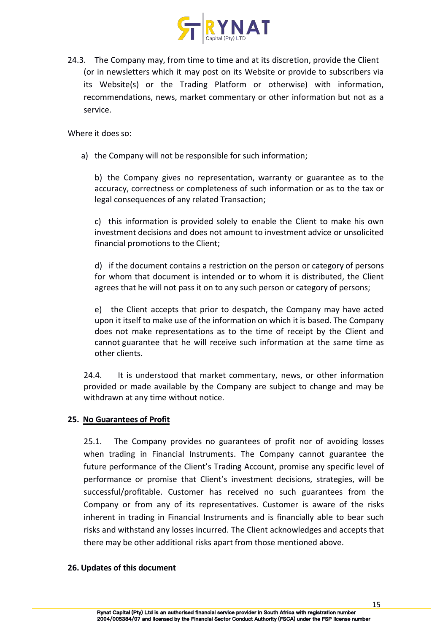

24.3. The Company may, from time to time and at its discretion, provide the Client (or in newsletters which it may post on its Website or provide to subscribers via its Website(s) or the Trading Platform or otherwise) with information, recommendations, news, market commentary or other information but not as a service.

Where it does so:

a) the Company will not be responsible for such information;

b) the Company gives no representation, warranty or guarantee as to the accuracy, correctness or completeness of such information or as to the tax or legal consequences of any related Transaction;

c) this information is provided solely to enable the Client to make his own investment decisions and does not amount to investment advice or unsolicited financial promotions to the Client;

d) if the document contains a restriction on the person or category of persons for whom that document is intended or to whom it is distributed, the Client agrees that he will not pass it on to any such person or category of persons;

e) the Client accepts that prior to despatch, the Company may have acted upon it itself to make use of the information on which it is based. The Company does not make representations as to the time of receipt by the Client and cannot guarantee that he will receive such information at the same time as other clients.

24.4. It is understood that market commentary, news, or other information provided or made available by the Company are subject to change and may be withdrawn at any time without notice.

## **25. No Guarantees of Profit**

25.1. The Company provides no guarantees of profit nor of avoiding losses when trading in Financial Instruments. The Company cannot guarantee the future performance of the Client's Trading Account, promise any specific level of performance or promise that Client's investment decisions, strategies, will be successful/profitable. Customer has received no such guarantees from the Company or from any of its representatives. Customer is aware of the risks inherent in trading in Financial Instruments and is financially able to bear such risks and withstand any losses incurred. The Client acknowledges and accepts that there may be other additional risks apart from those mentioned above.

## **26. Updates of this document**